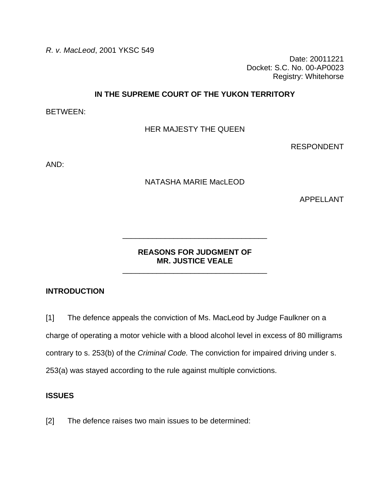*R. v. MacLeod*, 2001 YKSC 549

Date: 20011221 Docket: S.C. No. 00-AP0023 Registry: Whitehorse

## **IN THE SUPREME COURT OF THE YUKON TERRITORY**

BETWEEN:

HER MAJESTY THE QUEEN

RESPONDENT

AND:

#### NATASHA MARIE MacLEOD

APPELLANT

## **REASONS FOR JUDGMENT OF MR. JUSTICE VEALE**

\_\_\_\_\_\_\_\_\_\_\_\_\_\_\_\_\_\_\_\_\_\_\_\_\_\_\_\_\_\_\_\_\_\_

\_\_\_\_\_\_\_\_\_\_\_\_\_\_\_\_\_\_\_\_\_\_\_\_\_\_\_\_\_\_\_\_\_\_

## **INTRODUCTION**

[1] The defence appeals the conviction of Ms. MacLeod by Judge Faulkner on a

charge of operating a motor vehicle with a blood alcohol level in excess of 80 milligrams

contrary to s. 253(b) of the *Criminal Code.* The conviction for impaired driving under s.

253(a) was stayed according to the rule against multiple convictions.

#### **ISSUES**

[2] The defence raises two main issues to be determined: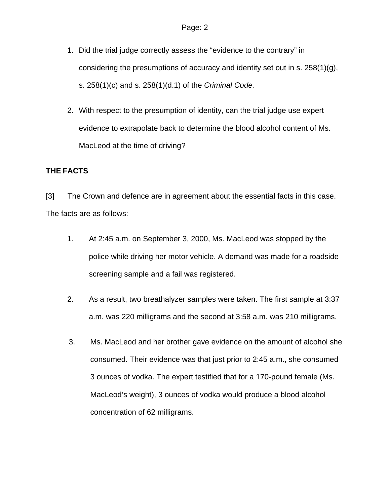- 1. Did the trial judge correctly assess the "evidence to the contrary" in considering the presumptions of accuracy and identity set out in s. 258(1)(g), s. 258(1)(c) and s. 258(1)(d.1) of the *Criminal Code.*
- 2. With respect to the presumption of identity, can the trial judge use expert evidence to extrapolate back to determine the blood alcohol content of Ms. MacLeod at the time of driving?

# **THE FACTS**

[3] The Crown and defence are in agreement about the essential facts in this case. The facts are as follows:

- 1. At 2:45 a.m. on September 3, 2000, Ms. MacLeod was stopped by the police while driving her motor vehicle. A demand was made for a roadside screening sample and a fail was registered.
- 2. As a result, two breathalyzer samples were taken. The first sample at 3:37 a.m. was 220 milligrams and the second at 3:58 a.m. was 210 milligrams.
- 3. Ms. MacLeod and her brother gave evidence on the amount of alcohol she consumed. Their evidence was that just prior to 2:45 a.m., she consumed 3 ounces of vodka. The expert testified that for a 170-pound female (Ms. MacLeod's weight), 3 ounces of vodka would produce a blood alcohol concentration of 62 milligrams.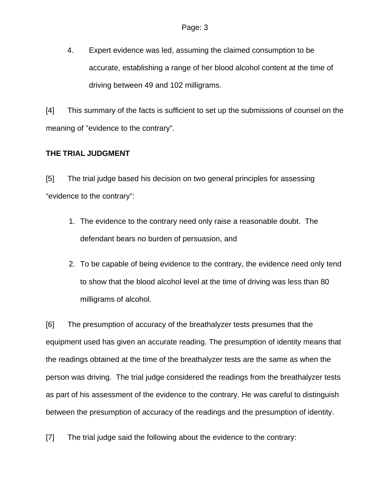4. Expert evidence was led, assuming the claimed consumption to be accurate, establishing a range of her blood alcohol content at the time of driving between 49 and 102 milligrams.

[4] This summary of the facts is sufficient to set up the submissions of counsel on the meaning of "evidence to the contrary".

# **THE TRIAL JUDGMENT**

[5] The trial judge based his decision on two general principles for assessing "evidence to the contrary":

- 1. The evidence to the contrary need only raise a reasonable doubt. The defendant bears no burden of persuasion, and
- 2. To be capable of being evidence to the contrary, the evidence need only tend to show that the blood alcohol level at the time of driving was less than 80 milligrams of alcohol.

[6] The presumption of accuracy of the breathalyzer tests presumes that the equipment used has given an accurate reading. The presumption of identity means that the readings obtained at the time of the breathalyzer tests are the same as when the person was driving. The trial judge considered the readings from the breathalyzer tests as part of his assessment of the evidence to the contrary. He was careful to distinguish between the presumption of accuracy of the readings and the presumption of identity.

[7] The trial judge said the following about the evidence to the contrary: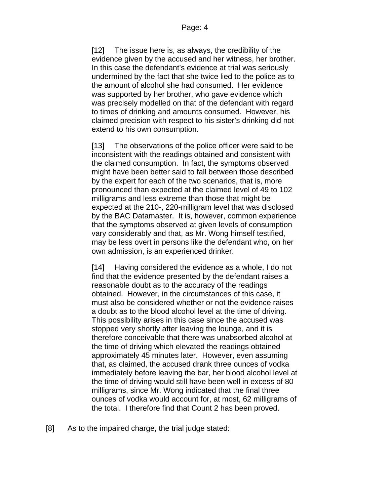[12] The issue here is, as always, the credibility of the evidence given by the accused and her witness, her brother. In this case the defendant's evidence at trial was seriously undermined by the fact that she twice lied to the police as to the amount of alcohol she had consumed. Her evidence was supported by her brother, who gave evidence which was precisely modelled on that of the defendant with regard to times of drinking and amounts consumed. However, his claimed precision with respect to his sister's drinking did not extend to his own consumption.

[13] The observations of the police officer were said to be inconsistent with the readings obtained and consistent with the claimed consumption. In fact, the symptoms observed might have been better said to fall between those described by the expert for each of the two scenarios, that is, more pronounced than expected at the claimed level of 49 to 102 milligrams and less extreme than those that might be expected at the 210-, 220-milligram level that was disclosed by the BAC Datamaster. It is, however, common experience that the symptoms observed at given levels of consumption vary considerably and that, as Mr. Wong himself testified, may be less overt in persons like the defendant who, on her own admission, is an experienced drinker.

[14] Having considered the evidence as a whole, I do not find that the evidence presented by the defendant raises a reasonable doubt as to the accuracy of the readings obtained. However, in the circumstances of this case, it must also be considered whether or not the evidence raises a doubt as to the blood alcohol level at the time of driving. This possibility arises in this case since the accused was stopped very shortly after leaving the lounge, and it is therefore conceivable that there was unabsorbed alcohol at the time of driving which elevated the readings obtained approximately 45 minutes later. However, even assuming that, as claimed, the accused drank three ounces of vodka immediately before leaving the bar, her blood alcohol level at the time of driving would still have been well in excess of 80 milligrams, since Mr. Wong indicated that the final three ounces of vodka would account for, at most, 62 milligrams of the total. I therefore find that Count 2 has been proved.

[8] As to the impaired charge, the trial judge stated: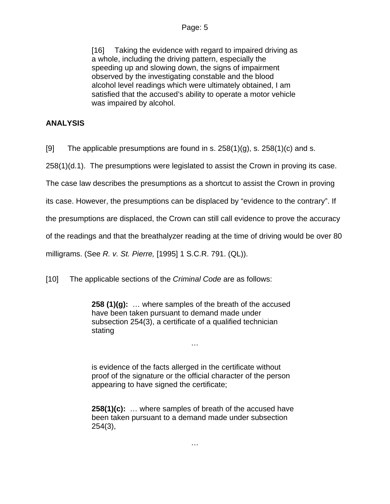[16] Taking the evidence with regard to impaired driving as a whole, including the driving pattern, especially the speeding up and slowing down, the signs of impairment observed by the investigating constable and the blood alcohol level readings which were ultimately obtained, I am satisfied that the accused's ability to operate a motor vehicle was impaired by alcohol.

# **ANALYSIS**

[9] The applicable presumptions are found in s.  $258(1)(g)$ , s.  $258(1)(c)$  and s.

258(1)(d.1). The presumptions were legislated to assist the Crown in proving its case.

The case law describes the presumptions as a shortcut to assist the Crown in proving

its case. However, the presumptions can be displaced by "evidence to the contrary". If

the presumptions are displaced, the Crown can still call evidence to prove the accuracy

of the readings and that the breathalyzer reading at the time of driving would be over 80

milligrams. (See *R. v. St. Pierre,* [1995] 1 S.C.R. 791. (QL)).

[10] The applicable sections of the *Criminal Code* are as follows:

**258 (1)(g):** … where samples of the breath of the accused have been taken pursuant to demand made under subsection 254(3), a certificate of a qualified technician stating

…

is evidence of the facts allerged in the certificate without proof of the signature or the official character of the person appearing to have signed the certificate;

**258(1)(c):** … where samples of breath of the accused have been taken pursuant to a demand made under subsection 254(3),

…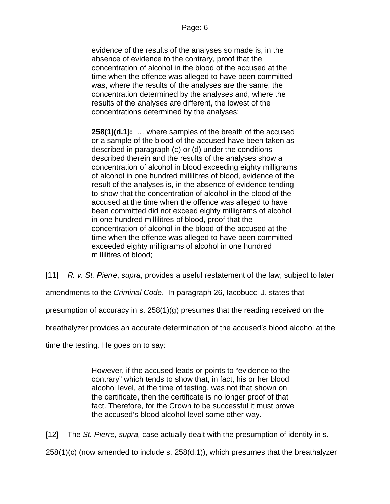evidence of the results of the analyses so made is, in the absence of evidence to the contrary, proof that the concentration of alcohol in the blood of the accused at the time when the offence was alleged to have been committed was, where the results of the analyses are the same, the concentration determined by the analyses and, where the results of the analyses are different, the lowest of the concentrations determined by the analyses;

**258(1)(d.1):** … where samples of the breath of the accused or a sample of the blood of the accused have been taken as described in paragraph (c) or (d) under the conditions described therein and the results of the analyses show a concentration of alcohol in blood exceeding eighty milligrams of alcohol in one hundred millilitres of blood, evidence of the result of the analyses is, in the absence of evidence tending to show that the concentration of alcohol in the blood of the accused at the time when the offence was alleged to have been committed did not exceed eighty milligrams of alcohol in one hundred millilitres of blood, proof that the concentration of alcohol in the blood of the accused at the time when the offence was alleged to have been committed exceeded eighty milligrams of alcohol in one hundred millilitres of blood;

[11] *R. v. St. Pierre*, *supra*, provides a useful restatement of the law, subject to later

amendments to the *Criminal Code*. In paragraph 26, Iacobucci J. states that

presumption of accuracy in s. 258(1)(g) presumes that the reading received on the

breathalyzer provides an accurate determination of the accused's blood alcohol at the

time the testing. He goes on to say:

However, if the accused leads or points to "evidence to the contrary" which tends to show that, in fact, his or her blood alcohol level, at the time of testing, was not that shown on the certificate, then the certificate is no longer proof of that fact. Therefore, for the Crown to be successful it must prove the accused's blood alcohol level some other way.

[12] The *St. Pierre, supra,* case actually dealt with the presumption of identity in s.

258(1)(c) (now amended to include s. 258(d.1)), which presumes that the breathalyzer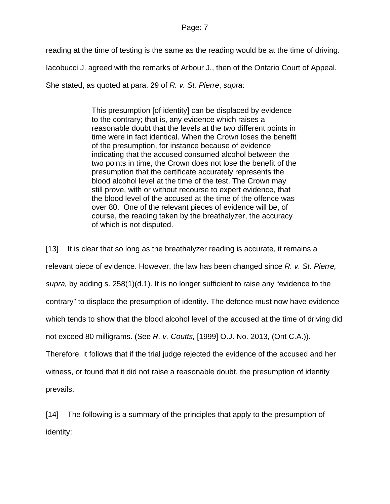#### Page: 7

reading at the time of testing is the same as the reading would be at the time of driving.

Iacobucci J. agreed with the remarks of Arbour J., then of the Ontario Court of Appeal.

She stated, as quoted at para. 29 of *R. v. St. Pierre*, *supra*:

This presumption [of identity] can be displaced by evidence to the contrary; that is, any evidence which raises a reasonable doubt that the levels at the two different points in time were in fact identical. When the Crown loses the benefit of the presumption, for instance because of evidence indicating that the accused consumed alcohol between the two points in time, the Crown does not lose the benefit of the presumption that the certificate accurately represents the blood alcohol level at the time of the test. The Crown may still prove, with or without recourse to expert evidence, that the blood level of the accused at the time of the offence was over 80. One of the relevant pieces of evidence will be, of course, the reading taken by the breathalyzer, the accuracy of which is not disputed.

[13] It is clear that so long as the breathalyzer reading is accurate, it remains a relevant piece of evidence. However, the law has been changed since *R. v. St. Pierre, supra,* by adding s. 258(1)(d.1). It is no longer sufficient to raise any "evidence to the contrary" to displace the presumption of identity. The defence must now have evidence which tends to show that the blood alcohol level of the accused at the time of driving did not exceed 80 milligrams. (See *R. v. Coutts,* [1999] O.J. No. 2013, (Ont C.A.)). Therefore, it follows that if the trial judge rejected the evidence of the accused and her witness, or found that it did not raise a reasonable doubt, the presumption of identity prevails.

[14] The following is a summary of the principles that apply to the presumption of identity: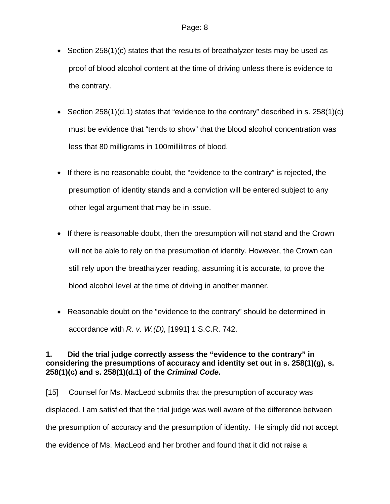- Section 258(1)(c) states that the results of breathalyzer tests may be used as proof of blood alcohol content at the time of driving unless there is evidence to the contrary.
- Section 258(1)(d.1) states that "evidence to the contrary" described in s.  $258(1)(c)$ must be evidence that "tends to show" that the blood alcohol concentration was less that 80 milligrams in 100millilitres of blood.
- If there is no reasonable doubt, the "evidence to the contrary" is rejected, the presumption of identity stands and a conviction will be entered subject to any other legal argument that may be in issue.
- If there is reasonable doubt, then the presumption will not stand and the Crown will not be able to rely on the presumption of identity. However, the Crown can still rely upon the breathalyzer reading, assuming it is accurate, to prove the blood alcohol level at the time of driving in another manner.
- Reasonable doubt on the "evidence to the contrary" should be determined in accordance with *R. v. W.(D),* [1991] 1 S.C.R. 742.

# **1. Did the trial judge correctly assess the "evidence to the contrary" in considering the presumptions of accuracy and identity set out in s. 258(1)(g), s. 258(1)(c) and s. 258(1)(d.1) of the** *Criminal Code.*

[15] Counsel for Ms. MacLeod submits that the presumption of accuracy was displaced. I am satisfied that the trial judge was well aware of the difference between the presumption of accuracy and the presumption of identity. He simply did not accept the evidence of Ms. MacLeod and her brother and found that it did not raise a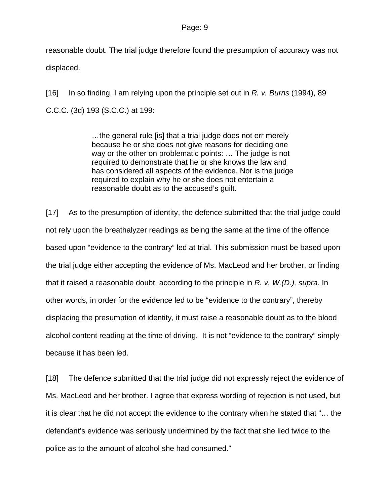reasonable doubt. The trial judge therefore found the presumption of accuracy was not displaced.

[16] In so finding, I am relying upon the principle set out in *R. v. Burns* (1994), 89 C.C.C. (3d) 193 (S.C.C.) at 199:

> …the general rule [is] that a trial judge does not err merely because he or she does not give reasons for deciding one way or the other on problematic points: … The judge is not required to demonstrate that he or she knows the law and has considered all aspects of the evidence. Nor is the judge required to explain why he or she does not entertain a reasonable doubt as to the accused's guilt.

[17] As to the presumption of identity, the defence submitted that the trial judge could not rely upon the breathalyzer readings as being the same at the time of the offence based upon "evidence to the contrary" led at trial. This submission must be based upon the trial judge either accepting the evidence of Ms. MacLeod and her brother, or finding that it raised a reasonable doubt, according to the principle in *R. v. W.(D.), supra.* In other words, in order for the evidence led to be "evidence to the contrary", thereby displacing the presumption of identity, it must raise a reasonable doubt as to the blood alcohol content reading at the time of driving. It is not "evidence to the contrary" simply because it has been led.

[18] The defence submitted that the trial judge did not expressly reject the evidence of Ms. MacLeod and her brother. I agree that express wording of rejection is not used, but it is clear that he did not accept the evidence to the contrary when he stated that "… the defendant's evidence was seriously undermined by the fact that she lied twice to the police as to the amount of alcohol she had consumed."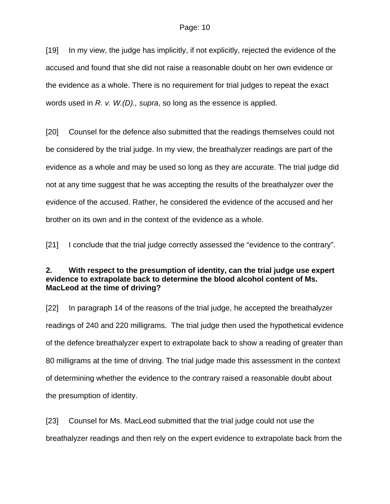[19] In my view, the judge has implicitly, if not explicitly, rejected the evidence of the accused and found that she did not raise a reasonable doubt on her own evidence or the evidence as a whole. There is no requirement for trial judges to repeat the exact words used in *R. v. W.(D)., supra*, so long as the essence is applied.

[20] Counsel for the defence also submitted that the readings themselves could not be considered by the trial judge. In my view, the breathalyzer readings are part of the evidence as a whole and may be used so long as they are accurate. The trial judge did not at any time suggest that he was accepting the results of the breathalyzer over the evidence of the accused. Rather, he considered the evidence of the accused and her brother on its own and in the context of the evidence as a whole.

[21] I conclude that the trial judge correctly assessed the "evidence to the contrary".

## **2. With respect to the presumption of identity, can the trial judge use expert evidence to extrapolate back to determine the blood alcohol content of Ms. MacLeod at the time of driving?**

[22] In paragraph 14 of the reasons of the trial judge, he accepted the breathalyzer readings of 240 and 220 milligrams. The trial judge then used the hypothetical evidence of the defence breathalyzer expert to extrapolate back to show a reading of greater than 80 milligrams at the time of driving. The trial judge made this assessment in the context of determining whether the evidence to the contrary raised a reasonable doubt about the presumption of identity.

[23] Counsel for Ms. MacLeod submitted that the trial judge could not use the breathalyzer readings and then rely on the expert evidence to extrapolate back from the